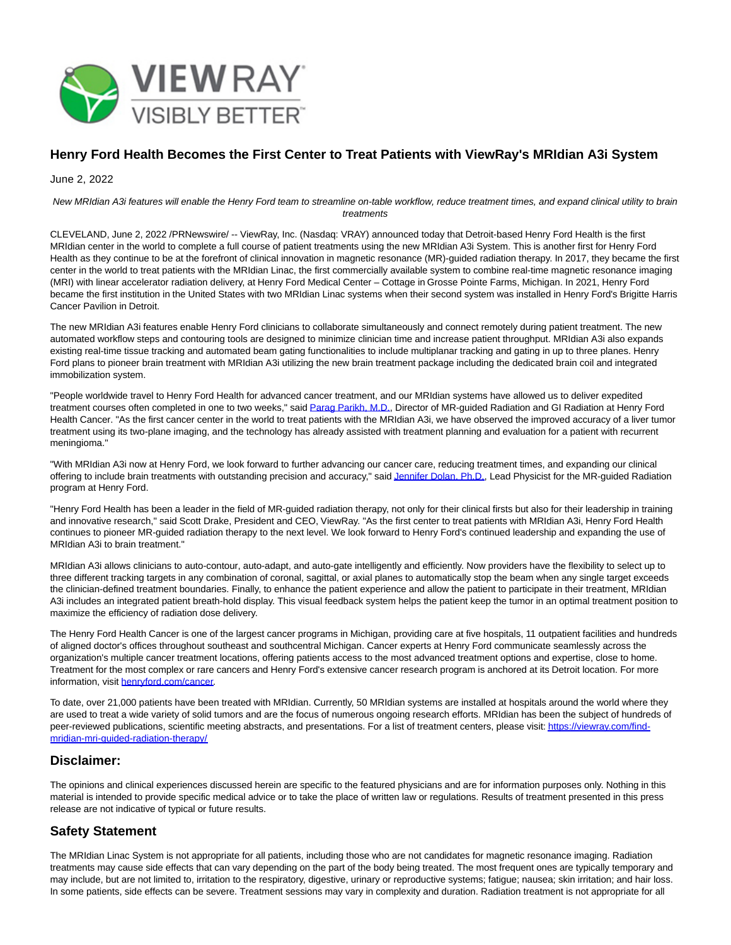

## **Henry Ford Health Becomes the First Center to Treat Patients with ViewRay's MRIdian A3i System**

June 2, 2022

New MRIdian A3i features will enable the Henry Ford team to streamline on-table workflow, reduce treatment times, and expand clinical utility to brain treatments

CLEVELAND, June 2, 2022 /PRNewswire/ -- ViewRay, Inc. (Nasdaq: VRAY) announced today that Detroit-based Henry Ford Health is the first MRIdian center in the world to complete a full course of patient treatments using the new MRIdian A3i System. This is another first for Henry Ford Health as they continue to be at the forefront of clinical innovation in magnetic resonance (MR)-guided radiation therapy. In 2017, they became the first center in the world to treat patients with the MRIdian Linac, the first commercially available system to combine real-time magnetic resonance imaging (MRI) with linear accelerator radiation delivery, at Henry Ford Medical Center – Cottage in Grosse Pointe Farms, Michigan. In 2021, Henry Ford became the first institution in the United States with two MRIdian Linac systems when their second system was installed in Henry Ford's Brigitte Harris Cancer Pavilion in Detroit.

The new MRIdian A3i features enable Henry Ford clinicians to collaborate simultaneously and connect remotely during patient treatment. The new automated workflow steps and contouring tools are designed to minimize clinician time and increase patient throughput. MRIdian A3i also expands existing real-time tissue tracking and automated beam gating functionalities to include multiplanar tracking and gating in up to three planes. Henry Ford plans to pioneer brain treatment with MRIdian A3i utilizing the new brain treatment package including the dedicated brain coil and integrated immobilization system.

"People worldwide travel to Henry Ford Health for advanced cancer treatment, and our MRIdian systems have allowed us to deliver expedited treatment courses often completed in one to two weeks," said [Parag Parikh, M.D.,](https://c212.net/c/link/?t=0&l=en&o=3555411-1&h=4276813421&u=https%3A%2F%2Fwww.henryford.com%2Fphysician-directory%2Fp%2Fparikh-parag&a=Parag+Parikh%2C+M.D.) Director of MR-guided Radiation and GI Radiation at Henry Ford Health Cancer. "As the first cancer center in the world to treat patients with the MRIdian A3i, we have observed the improved accuracy of a liver tumor treatment using its two-plane imaging, and the technology has already assisted with treatment planning and evaluation for a patient with recurrent meningioma."

"With MRIdian A3i now at Henry Ford, we look forward to further advancing our cancer care, reducing treatment times, and expanding our clinical offering to include brain treatments with outstanding precision and accuracy," sai[d Jennifer Dolan, Ph.D.,](https://c212.net/c/link/?t=0&l=en&o=3555411-1&h=2355738383&u=https%3A%2F%2Fwww.henryford.com%2Fphysician-directory%2Fd%2Fdolan-jennifer&a=Jennifer+Dolan%2C+Ph.D.) Lead Physicist for the MR-guided Radiation program at Henry Ford.

"Henry Ford Health has been a leader in the field of MR-guided radiation therapy, not only for their clinical firsts but also for their leadership in training and innovative research," said Scott Drake, President and CEO, ViewRay. "As the first center to treat patients with MRIdian A3i, Henry Ford Health continues to pioneer MR-guided radiation therapy to the next level. We look forward to Henry Ford's continued leadership and expanding the use of MRIdian A3i to brain treatment."

MRIdian A3i allows clinicians to auto-contour, auto-adapt, and auto-gate intelligently and efficiently. Now providers have the flexibility to select up to three different tracking targets in any combination of coronal, sagittal, or axial planes to automatically stop the beam when any single target exceeds the clinician-defined treatment boundaries. Finally, to enhance the patient experience and allow the patient to participate in their treatment, MRIdian A3i includes an integrated patient breath-hold display. This visual feedback system helps the patient keep the tumor in an optimal treatment position to maximize the efficiency of radiation dose delivery.

The Henry Ford Health Cancer is one of the largest cancer programs in Michigan, providing care at five hospitals, 11 outpatient facilities and hundreds of aligned doctor's offices throughout southeast and southcentral Michigan. Cancer experts at Henry Ford communicate seamlessly across the organization's multiple cancer treatment locations, offering patients access to the most advanced treatment options and expertise, close to home. Treatment for the most complex or rare cancers and Henry Ford's extensive cancer research program is anchored at its Detroit location. For more information, visit [henryford.com/cancer.](https://c212.net/c/link/?t=0&l=en&o=3555411-1&h=2370057725&u=http%3A%2F%2Fwww.henryford.com%2Fcancer&a=henryford.com%2Fcancer) 

To date, over 21,000 patients have been treated with MRIdian. Currently, 50 MRIdian systems are installed at hospitals around the world where they are used to treat a wide variety of solid tumors and are the focus of numerous ongoing research efforts. MRIdian has been the subject of hundreds of peer-reviewed publications, scientific meeting abstracts, and presentations. For a list of treatment centers, please visit[: https://viewray.com/find](https://c212.net/c/link/?t=0&l=en&o=3555411-1&h=1409978296&u=https%3A%2F%2Fviewray.com%2Ffind-mridian-mri-guided-radiation-therapy%2F&a=https%3A%2F%2Fviewray.com%2Ffind-mridian-mri-guided-radiation-therapy%2F)mridian-mri-guided-radiation-therapy/

#### **Disclaimer:**

The opinions and clinical experiences discussed herein are specific to the featured physicians and are for information purposes only. Nothing in this material is intended to provide specific medical advice or to take the place of written law or regulations. Results of treatment presented in this press release are not indicative of typical or future results.

# **Safety Statement**

The MRIdian Linac System is not appropriate for all patients, including those who are not candidates for magnetic resonance imaging. Radiation treatments may cause side effects that can vary depending on the part of the body being treated. The most frequent ones are typically temporary and may include, but are not limited to, irritation to the respiratory, digestive, urinary or reproductive systems; fatigue; nausea; skin irritation; and hair loss. In some patients, side effects can be severe. Treatment sessions may vary in complexity and duration. Radiation treatment is not appropriate for all